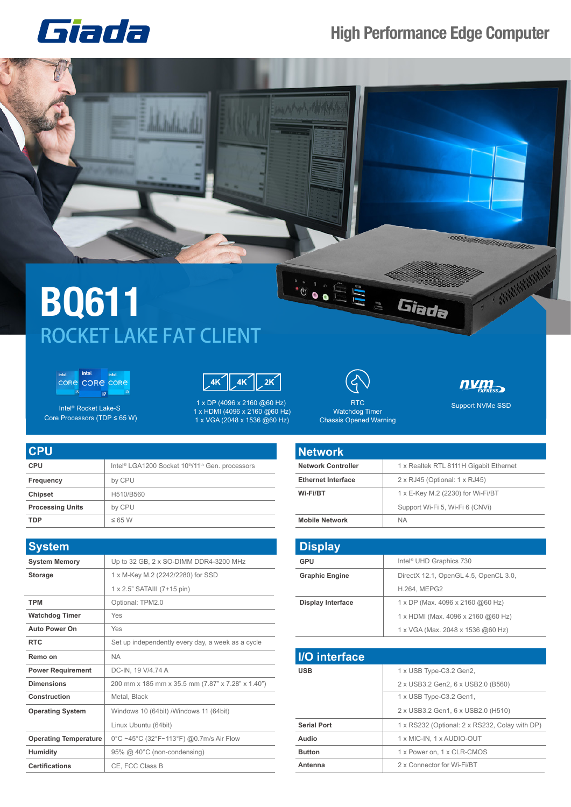## Giada

## **High Performance Edge Computer**



## **BQ611** ROCKET LAKE FAT CLIENT

intel intel intel<br>CORE CORE CORE  $\overline{\mathbf{5}}$  $\overline{B}$ 



Intel® Rocket Lake-S Core Processors (TDP ≤ 65 W)

1 x DP (4096 x 2160 @60 Hz) 1 x HDMI (4096 x 2160 @60 Hz) 1 x VGA (2048 x 1536 @60 Hz)



Watchdog Timer Chassis Opened Warning num<sub>EXPRESS</sub>

Support NVMe SSD RTC

| <b>CPU</b>              |                                                                                      |
|-------------------------|--------------------------------------------------------------------------------------|
| <b>CPU</b>              | Intel <sup>®</sup> LGA1200 Socket 10 <sup>th</sup> /11 <sup>th</sup> Gen. processors |
| Frequency               | by CPU                                                                               |
| <b>Chipset</b>          | H510/B560                                                                            |
| <b>Processing Units</b> | by CPU                                                                               |
| <b>TDP</b>              | $\leq 65$ W                                                                          |

| <b>System</b>                |                                                   |
|------------------------------|---------------------------------------------------|
| <b>System Memory</b>         | Up to 32 GB, 2 x SO-DIMM DDR4-3200 MHz            |
| <b>Storage</b>               | 1 x M-Key M.2 (2242/2280) for SSD                 |
|                              | 1 x 2.5" SATAIII (7+15 pin)                       |
| <b>TPM</b>                   | Optional: TPM2.0                                  |
| <b>Watchdog Timer</b>        | Yes                                               |
| <b>Auto Power On</b>         | Yes                                               |
| <b>RTC</b>                   | Set up independently every day, a week as a cycle |
| Remo on                      | <b>NA</b>                                         |
| <b>Power Requirement</b>     | DC-IN, 19 V/4.74 A                                |
| <b>Dimensions</b>            | 200 mm x 185 mm x 35.5 mm (7.87" x 7.28" x 1.40") |
| Construction                 | Metal, Black                                      |
| <b>Operating System</b>      | Windows 10 (64bit) / Windows 11 (64bit)           |
|                              | Linux Ubuntu (64bit)                              |
| <b>Operating Temperature</b> | 0°C ~45°C (32°F~113°F) @0.7m/s Air Flow           |
| <b>Humidity</b>              | 95% @ 40°C (non-condensing)                       |
| <b>Certifications</b>        | CE. FCC Class B                                   |

| <b>Network</b>            |                                        |
|---------------------------|----------------------------------------|
| <b>Network Controller</b> | 1 x Realtek RTL 8111H Gigabit Ethernet |
| <b>Ethernet Interface</b> | 2 x RJ45 (Optional: 1 x RJ45)          |
| Wi-Fi/BT                  | 1 x E-Key M.2 (2230) for Wi-Fi/BT      |
|                           | Support Wi-Fi 5, Wi-Fi 6 (CNVi)        |
| <b>Mobile Network</b>     | <b>NA</b>                              |

| <b>Display</b>           |                                       |
|--------------------------|---------------------------------------|
| GPU                      | Intel <sup>®</sup> UHD Graphics 730   |
| <b>Graphic Engine</b>    | DirectX 12.1, OpenGL 4.5, OpenCL 3.0, |
|                          | <b>H.264, MEPG2</b>                   |
| <b>Display Interface</b> | 1 x DP (Max. 4096 x 2160 @60 Hz)      |
|                          | 1 x HDMI (Max. 4096 x 2160 @60 Hz)    |
|                          | 1 x VGA (Max. 2048 x 1536 @60 Hz)     |

| <b>I/O</b> interface |                                                |
|----------------------|------------------------------------------------|
| <b>USB</b>           | 1 x USB Type-C3.2 Gen2,                        |
|                      | 2 x USB3.2 Gen2, 6 x USB2.0 (B560)             |
|                      | 1 x USB Type-C3.2 Gen1,                        |
|                      | 2 x USB3.2 Gen1, 6 x USB2.0 (H510)             |
| <b>Serial Port</b>   | 1 x RS232 (Optional: 2 x RS232, Colay with DP) |
| Audio                | 1 x MIC-IN, 1 x AUDIO-OUT                      |
| <b>Button</b>        | 1 x Power on, 1 x CLR-CMOS                     |
| Antenna              | 2 x Connector for Wi-Fi/BT                     |